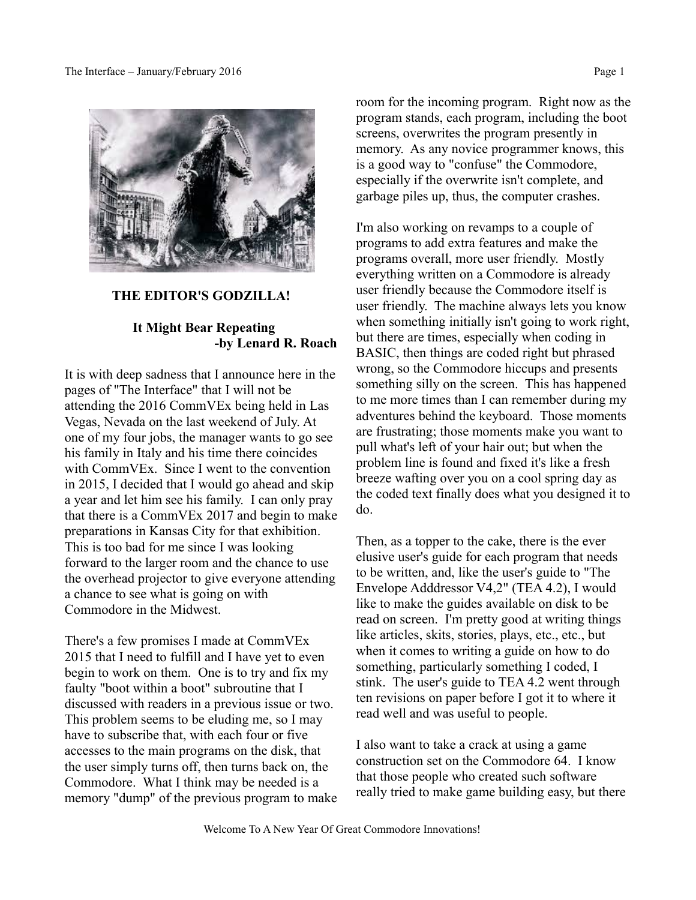

#### **THE EDITOR'S GODZILLA!**

### **It Might Bear Repeating -by Lenard R. Roach**

It is with deep sadness that I announce here in the pages of "The Interface" that I will not be attending the 2016 CommVEx being held in Las Vegas, Nevada on the last weekend of July. At one of my four jobs, the manager wants to go see his family in Italy and his time there coincides with CommVEx. Since I went to the convention in 2015, I decided that I would go ahead and skip a year and let him see his family. I can only pray that there is a CommVEx 2017 and begin to make preparations in Kansas City for that exhibition. This is too bad for me since I was looking forward to the larger room and the chance to use the overhead projector to give everyone attending a chance to see what is going on with Commodore in the Midwest.

There's a few promises I made at CommVEx 2015 that I need to fulfill and I have yet to even begin to work on them. One is to try and fix my faulty "boot within a boot" subroutine that I discussed with readers in a previous issue or two. This problem seems to be eluding me, so I may have to subscribe that, with each four or five accesses to the main programs on the disk, that the user simply turns off, then turns back on, the Commodore. What I think may be needed is a memory "dump" of the previous program to make room for the incoming program. Right now as the program stands, each program, including the boot screens, overwrites the program presently in memory. As any novice programmer knows, this is a good way to "confuse" the Commodore, especially if the overwrite isn't complete, and garbage piles up, thus, the computer crashes.

I'm also working on revamps to a couple of programs to add extra features and make the programs overall, more user friendly. Mostly everything written on a Commodore is already user friendly because the Commodore itself is user friendly. The machine always lets you know when something initially isn't going to work right, but there are times, especially when coding in BASIC, then things are coded right but phrased wrong, so the Commodore hiccups and presents something silly on the screen. This has happened to me more times than I can remember during my adventures behind the keyboard. Those moments are frustrating; those moments make you want to pull what's left of your hair out; but when the problem line is found and fixed it's like a fresh breeze wafting over you on a cool spring day as the coded text finally does what you designed it to do.

Then, as a topper to the cake, there is the ever elusive user's guide for each program that needs to be written, and, like the user's guide to "The Envelope Adddressor V4,2" (TEA 4.2), I would like to make the guides available on disk to be read on screen. I'm pretty good at writing things like articles, skits, stories, plays, etc., etc., but when it comes to writing a guide on how to do something, particularly something I coded, I stink. The user's guide to TEA 4.2 went through ten revisions on paper before I got it to where it read well and was useful to people.

I also want to take a crack at using a game construction set on the Commodore 64. I know that those people who created such software really tried to make game building easy, but there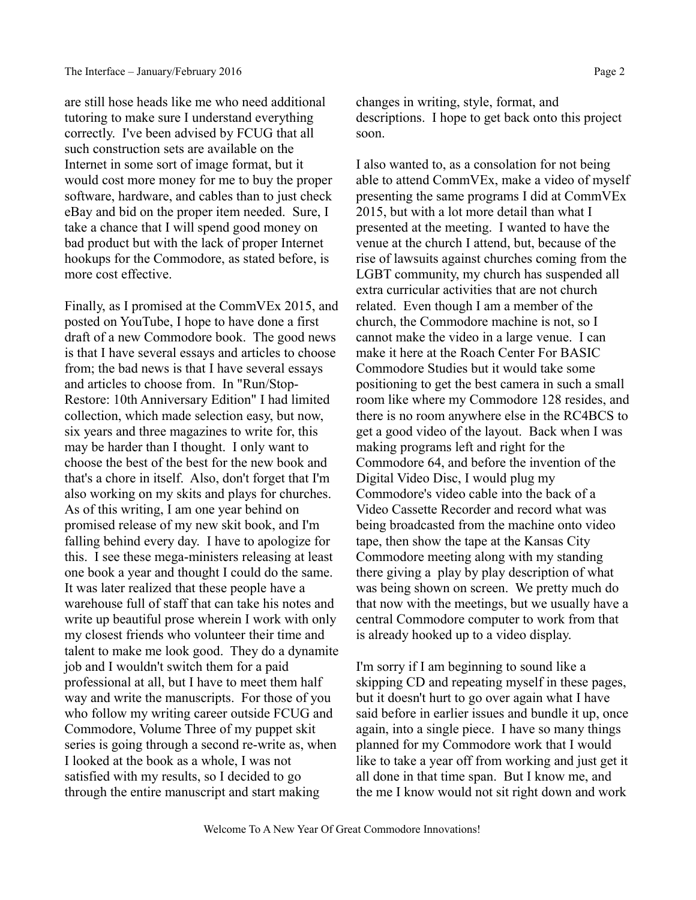are still hose heads like me who need additional tutoring to make sure I understand everything correctly. I've been advised by FCUG that all such construction sets are available on the Internet in some sort of image format, but it would cost more money for me to buy the proper software, hardware, and cables than to just check eBay and bid on the proper item needed. Sure, I take a chance that I will spend good money on bad product but with the lack of proper Internet hookups for the Commodore, as stated before, is more cost effective.

Finally, as I promised at the CommVEx 2015, and posted on YouTube, I hope to have done a first draft of a new Commodore book. The good news is that I have several essays and articles to choose from; the bad news is that I have several essays and articles to choose from. In "Run/Stop-Restore: 10th Anniversary Edition" I had limited collection, which made selection easy, but now, six years and three magazines to write for, this may be harder than I thought. I only want to choose the best of the best for the new book and that's a chore in itself. Also, don't forget that I'm also working on my skits and plays for churches. As of this writing, I am one year behind on promised release of my new skit book, and I'm falling behind every day. I have to apologize for this. I see these mega-ministers releasing at least one book a year and thought I could do the same. It was later realized that these people have a warehouse full of staff that can take his notes and write up beautiful prose wherein I work with only my closest friends who volunteer their time and talent to make me look good. They do a dynamite job and I wouldn't switch them for a paid professional at all, but I have to meet them half way and write the manuscripts. For those of you who follow my writing career outside FCUG and Commodore, Volume Three of my puppet skit series is going through a second re-write as, when I looked at the book as a whole, I was not satisfied with my results, so I decided to go through the entire manuscript and start making

changes in writing, style, format, and descriptions. I hope to get back onto this project soon.

I also wanted to, as a consolation for not being able to attend CommVEx, make a video of myself presenting the same programs I did at CommVEx 2015, but with a lot more detail than what I presented at the meeting. I wanted to have the venue at the church I attend, but, because of the rise of lawsuits against churches coming from the LGBT community, my church has suspended all extra curricular activities that are not church related. Even though I am a member of the church, the Commodore machine is not, so I cannot make the video in a large venue. I can make it here at the Roach Center For BASIC Commodore Studies but it would take some positioning to get the best camera in such a small room like where my Commodore 128 resides, and there is no room anywhere else in the RC4BCS to get a good video of the layout. Back when I was making programs left and right for the Commodore 64, and before the invention of the Digital Video Disc, I would plug my Commodore's video cable into the back of a Video Cassette Recorder and record what was being broadcasted from the machine onto video tape, then show the tape at the Kansas City Commodore meeting along with my standing there giving a play by play description of what was being shown on screen. We pretty much do that now with the meetings, but we usually have a central Commodore computer to work from that is already hooked up to a video display.

I'm sorry if I am beginning to sound like a skipping CD and repeating myself in these pages, but it doesn't hurt to go over again what I have said before in earlier issues and bundle it up, once again, into a single piece. I have so many things planned for my Commodore work that I would like to take a year off from working and just get it all done in that time span. But I know me, and the me I know would not sit right down and work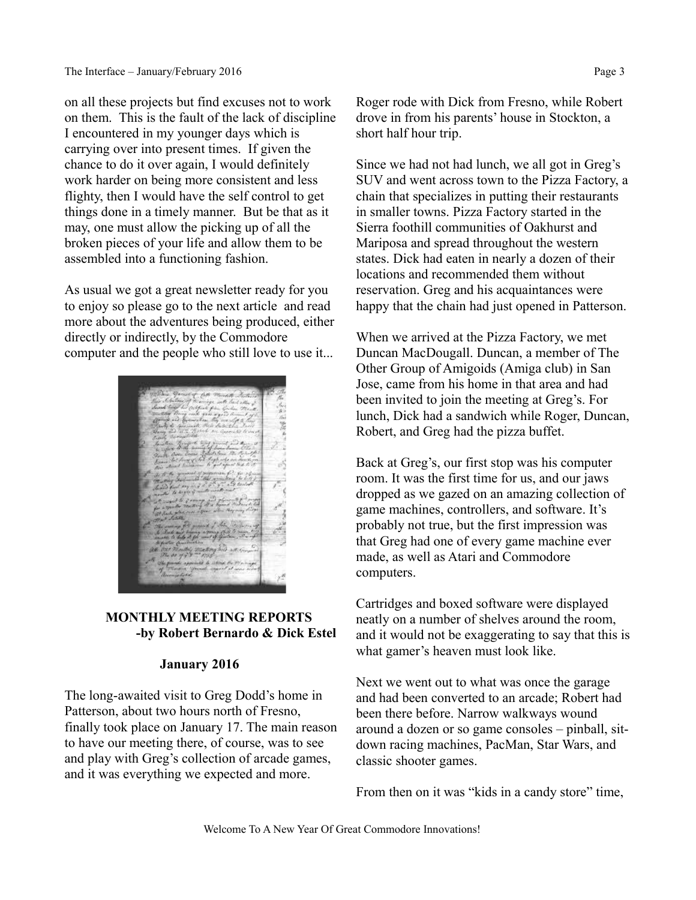on all these projects but find excuses not to work on them. This is the fault of the lack of discipline I encountered in my younger days which is carrying over into present times. If given the chance to do it over again, I would definitely work harder on being more consistent and less flighty, then I would have the self control to get things done in a timely manner. But be that as it may, one must allow the picking up of all the broken pieces of your life and allow them to be assembled into a functioning fashion.

As usual we got a great newsletter ready for you to enjoy so please go to the next article and read more about the adventures being produced, either directly or indirectly, by the Commodore computer and the people who still love to use it...



### **MONTHLY MEETING REPORTS -by Robert Bernardo & Dick Estel**

#### **January 2016**

The long-awaited visit to Greg Dodd's home in Patterson, about two hours north of Fresno, finally took place on January 17. The main reason to have our meeting there, of course, was to see and play with Greg's collection of arcade games, and it was everything we expected and more.

Roger rode with Dick from Fresno, while Robert drove in from his parents' house in Stockton, a short half hour trip.

Since we had not had lunch, we all got in Greg's SUV and went across town to the Pizza Factory, a chain that specializes in putting their restaurants in smaller towns. Pizza Factory started in the Sierra foothill communities of Oakhurst and Mariposa and spread throughout the western states. Dick had eaten in nearly a dozen of their locations and recommended them without reservation. Greg and his acquaintances were happy that the chain had just opened in Patterson.

When we arrived at the Pizza Factory, we met Duncan MacDougall. Duncan, a member of The Other Group of Amigoids (Amiga club) in San Jose, came from his home in that area and had been invited to join the meeting at Greg's. For lunch, Dick had a sandwich while Roger, Duncan, Robert, and Greg had the pizza buffet.

Back at Greg's, our first stop was his computer room. It was the first time for us, and our jaws dropped as we gazed on an amazing collection of game machines, controllers, and software. It's probably not true, but the first impression was that Greg had one of every game machine ever made, as well as Atari and Commodore computers.

Cartridges and boxed software were displayed neatly on a number of shelves around the room, and it would not be exaggerating to say that this is what gamer's heaven must look like.

Next we went out to what was once the garage and had been converted to an arcade; Robert had been there before. Narrow walkways wound around a dozen or so game consoles – pinball, sitdown racing machines, PacMan, Star Wars, and classic shooter games.

From then on it was "kids in a candy store" time,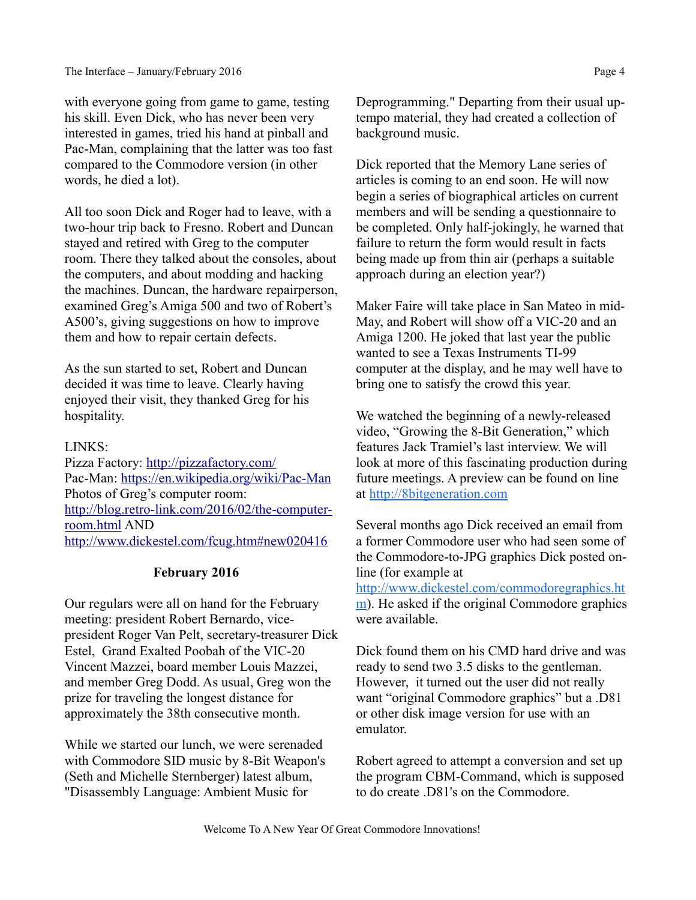with everyone going from game to game, testing his skill. Even Dick, who has never been very interested in games, tried his hand at pinball and Pac-Man, complaining that the latter was too fast compared to the Commodore version (in other words, he died a lot).

All too soon Dick and Roger had to leave, with a two-hour trip back to Fresno. Robert and Duncan stayed and retired with Greg to the computer room. There they talked about the consoles, about the computers, and about modding and hacking the machines. Duncan, the hardware repairperson, examined Greg's Amiga 500 and two of Robert's A500's, giving suggestions on how to improve them and how to repair certain defects.

As the sun started to set, Robert and Duncan decided it was time to leave. Clearly having enjoyed their visit, they thanked Greg for his hospitality.

#### LINKS:

Pizza Factory:<http://pizzafactory.com/> Pac-Man:<https://en.wikipedia.org/wiki/Pac-Man> Photos of Greg's computer room: [http://blog.retro-link.com/2016/02/the-computer](http://blog.retro-link.com/2016/02/the-computer-room.html)[room.html](http://blog.retro-link.com/2016/02/the-computer-room.html) AND <http://www.dickestel.com/fcug.htm#new020416>

### **February 2016**

Our regulars were all on hand for the February meeting: president Robert Bernardo, vicepresident Roger Van Pelt, secretary-treasurer Dick Estel, Grand Exalted Poobah of the VIC-20 Vincent Mazzei, board member Louis Mazzei, and member Greg Dodd. As usual, Greg won the prize for traveling the longest distance for approximately the 38th consecutive month.

While we started our lunch, we were serenaded with Commodore SID music by 8-Bit Weapon's (Seth and Michelle Sternberger) latest album, "Disassembly Language: Ambient Music for

Deprogramming." Departing from their usual uptempo material, they had created a collection of background music.

Dick reported that the Memory Lane series of articles is coming to an end soon. He will now begin a series of biographical articles on current members and will be sending a questionnaire to be completed. Only half-jokingly, he warned that failure to return the form would result in facts being made up from thin air (perhaps a suitable approach during an election year?)

Maker Faire will take place in San Mateo in mid-May, and Robert will show off a VIC-20 and an Amiga 1200. He joked that last year the public wanted to see a Texas Instruments TI-99 computer at the display, and he may well have to bring one to satisfy the crowd this year.

We watched the beginning of a newly-released video, "Growing the 8-Bit Generation," which features Jack Tramiel's last interview. We will look at more of this fascinating production during future meetings. A preview can be found on line at [http://8bitgeneration.com](http://8bitgeneration.com/)

Several months ago Dick received an email from a former Commodore user who had seen some of the Commodore-to-JPG graphics Dick posted online (for example at

[http://www.dickestel.com/commodoregraphics.ht](http://www.dickestel.com/commodoregraphics.htm) [m\)](http://www.dickestel.com/commodoregraphics.htm). He asked if the original Commodore graphics were available.

Dick found them on his CMD hard drive and was ready to send two 3.5 disks to the gentleman. However, it turned out the user did not really want "original Commodore graphics" but a .D81 or other disk image version for use with an emulator.

Robert agreed to attempt a conversion and set up the program CBM-Command, which is supposed to do create .D81's on the Commodore.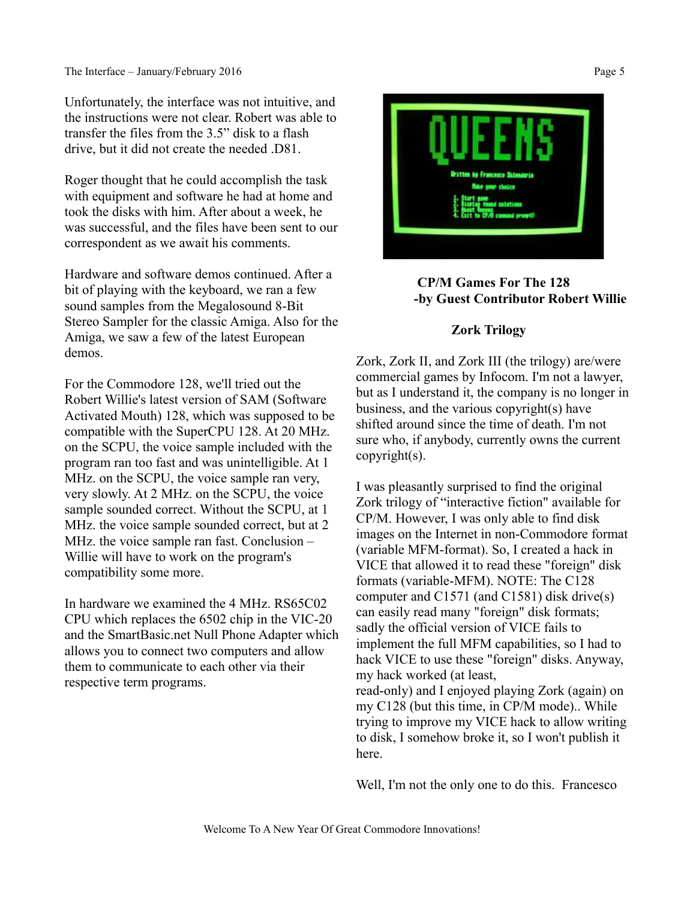Unfortunately, the interface was not intuitive, and the instructions were not clear. Robert was able to transfer the files from the 3.5" disk to a flash drive, but it did not create the needed .D81.

Roger thought that he could accomplish the task with equipment and software he had at home and took the disks with him. After about a week, he was successful, and the files have been sent to our correspondent as we await his comments.

Hardware and software demos continued. After a bit of playing with the keyboard, we ran a few sound samples from the Megalosound 8-Bit Stereo Sampler for the classic Amiga. Also for the Amiga, we saw a few of the latest European demos.

For the Commodore 128, we'll tried out the Robert Willie's latest version of SAM (Software Activated Mouth) 128, which was supposed to be compatible with the SuperCPU 128. At 20 MHz. on the SCPU, the voice sample included with the program ran too fast and was unintelligible. At 1 MHz. on the SCPU, the voice sample ran very, very slowly. At 2 MHz. on the SCPU, the voice sample sounded correct. Without the SCPU, at 1 MHz. the voice sample sounded correct, but at 2 MHz. the voice sample ran fast. Conclusion – Willie will have to work on the program's compatibility some more.

In hardware we examined the 4 MHz. RS65C02 CPU which replaces the 6502 chip in the VIC-20 and the SmartBasic.net Null Phone Adapter which allows you to connect two computers and allow them to communicate to each other via their respective term programs.



## **CP/M Games For The 128 -by Guest Contributor Robert Willie**

### **Zork Trilogy**

Zork, Zork II, and Zork III (the trilogy) are/were commercial games by Infocom. I'm not a lawyer, but as I understand it, the company is no longer in business, and the various copyright(s) have shifted around since the time of death. I'm not sure who, if anybody, currently owns the current copyright(s).

I was pleasantly surprised to find the original Zork trilogy of "interactive fiction" available for CP/M. However, I was only able to find disk images on the Internet in non-Commodore format (variable MFM-format). So, I created a hack in VICE that allowed it to read these "foreign" disk formats (variable-MFM). NOTE: The C128 computer and C1571 (and C1581) disk drive(s) can easily read many "foreign" disk formats; sadly the official version of VICE fails to implement the full MFM capabilities, so I had to hack VICE to use these "foreign" disks. Anyway, my hack worked (at least, read-only) and I enjoyed playing Zork (again) on

my C128 (but this time, in CP/M mode).. While trying to improve my VICE hack to allow writing to disk, I somehow broke it, so I won't publish it here.

Well, I'm not the only one to do this. Francesco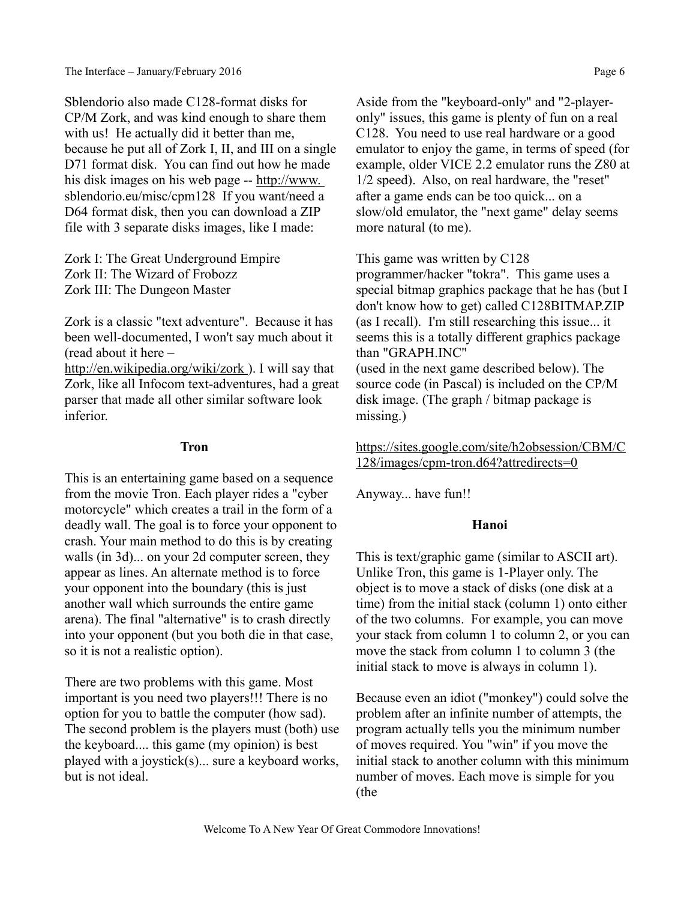Sblendorio also made C128-format disks for CP/M Zork, and was kind enough to share them with us! He actually did it better than me, because he put all of Zork I, II, and III on a single D71 format disk. You can find out how he made his disk images on his web page -- [http://www.](http://www./)  sblendorio.eu/misc/cpm128 If you want/need a D64 format disk, then you can download a ZIP file with 3 separate disks images, like I made:

Zork I: The Great Underground Empire Zork II: The Wizard of Frobozz Zork III: The Dungeon Master

Zork is a classic "text adventure". Because it has been well-documented, I won't say much about it (read about it here – http://en.wikipedia.org/wiki/zork). I will say that

Zork, like all Infocom text-adventures, had a great parser that made all other similar software look inferior.

#### **Tron**

This is an entertaining game based on a sequence from the movie Tron. Each player rides a "cyber motorcycle" which creates a trail in the form of a deadly wall. The goal is to force your opponent to crash. Your main method to do this is by creating walls (in 3d)... on your 2d computer screen, they appear as lines. An alternate method is to force your opponent into the boundary (this is just another wall which surrounds the entire game arena). The final "alternative" is to crash directly into your opponent (but you both die in that case, so it is not a realistic option).

There are two problems with this game. Most important is you need two players!!! There is no option for you to battle the computer (how sad). The second problem is the players must (both) use the keyboard.... this game (my opinion) is best played with a joystick(s)... sure a keyboard works, but is not ideal.

Aside from the "keyboard-only" and "2-playeronly" issues, this game is plenty of fun on a real C128. You need to use real hardware or a good emulator to enjoy the game, in terms of speed (for example, older VICE 2.2 emulator runs the Z80 at 1/2 speed). Also, on real hardware, the "reset" after a game ends can be too quick... on a slow/old emulator, the "next game" delay seems more natural (to me).

This game was written by C128 programmer/hacker "tokra". This game uses a special bitmap graphics package that he has (but I don't know how to get) called C128BITMAP.ZIP (as I recall). I'm still researching this issue... it seems this is a totally different graphics package than "GRAPH.INC" (used in the next game described below). The source code (in Pascal) is included on the CP/M disk image. (The graph / bitmap package is missing.)

[https://sites.google.com/site/h2obsession/CBM/C](https://sites.google.com/site/h2obsession/CBM/C128/images/cpm-tron.d64?attredirects=0) [128/images/cpm-tron.d64?attredirects=0](https://sites.google.com/site/h2obsession/CBM/C128/images/cpm-tron.d64?attredirects=0)

Anyway... have fun!!

## **Hanoi**

This is text/graphic game (similar to ASCII art). Unlike Tron, this game is 1-Player only. The object is to move a stack of disks (one disk at a time) from the initial stack (column 1) onto either of the two columns. For example, you can move your stack from column 1 to column 2, or you can move the stack from column 1 to column 3 (the initial stack to move is always in column 1).

Because even an idiot ("monkey") could solve the problem after an infinite number of attempts, the program actually tells you the minimum number of moves required. You "win" if you move the initial stack to another column with this minimum number of moves. Each move is simple for you (the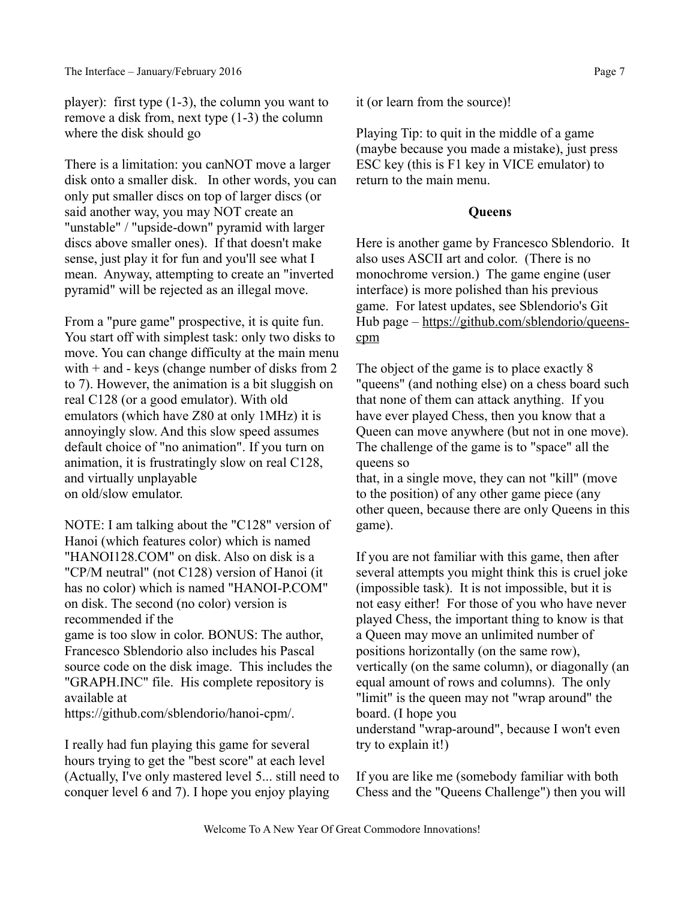player): first type (1-3), the column you want to remove a disk from, next type (1-3) the column where the disk should go

There is a limitation: you canNOT move a larger disk onto a smaller disk. In other words, you can only put smaller discs on top of larger discs (or said another way, you may NOT create an "unstable" / "upside-down" pyramid with larger discs above smaller ones). If that doesn't make sense, just play it for fun and you'll see what I mean. Anyway, attempting to create an "inverted pyramid" will be rejected as an illegal move.

From a "pure game" prospective, it is quite fun. You start off with simplest task: only two disks to move. You can change difficulty at the main menu with  $+$  and  $-$  keys (change number of disks from 2) to 7). However, the animation is a bit sluggish on real C128 (or a good emulator). With old emulators (which have Z80 at only 1MHz) it is annoyingly slow. And this slow speed assumes default choice of "no animation". If you turn on animation, it is frustratingly slow on real C128, and virtually unplayable on old/slow emulator.

NOTE: I am talking about the "C128" version of Hanoi (which features color) which is named "HANOI128.COM" on disk. Also on disk is a "CP/M neutral" (not C128) version of Hanoi (it has no color) which is named "HANOI-P.COM" on disk. The second (no color) version is recommended if the game is too slow in color. BONUS: The author,

Francesco Sblendorio also includes his Pascal source code on the disk image. This includes the "GRAPH.INC" file. His complete repository is available at

https://github.com/sblendorio/hanoi-cpm/.

I really had fun playing this game for several hours trying to get the "best score" at each level (Actually, I've only mastered level 5... still need to conquer level 6 and 7). I hope you enjoy playing

it (or learn from the source)!

Playing Tip: to quit in the middle of a game (maybe because you made a mistake), just press ESC key (this is F1 key in VICE emulator) to return to the main menu.

## **Queens**

Here is another game by Francesco Sblendorio. It also uses ASCII art and color. (There is no monochrome version.) The game engine (user interface) is more polished than his previous game. For latest updates, see Sblendorio's Git Hub page – [https://github.com/sblendorio/queens](https://github.com/sblendorio/queens-cpm)[cpm](https://github.com/sblendorio/queens-cpm)

The object of the game is to place exactly 8 "queens" (and nothing else) on a chess board such that none of them can attack anything. If you have ever played Chess, then you know that a Queen can move anywhere (but not in one move). The challenge of the game is to "space" all the queens so

that, in a single move, they can not "kill" (move to the position) of any other game piece (any other queen, because there are only Queens in this game).

If you are not familiar with this game, then after several attempts you might think this is cruel joke (impossible task). It is not impossible, but it is not easy either! For those of you who have never played Chess, the important thing to know is that a Queen may move an unlimited number of positions horizontally (on the same row), vertically (on the same column), or diagonally (an equal amount of rows and columns). The only "limit" is the queen may not "wrap around" the board. (I hope you understand "wrap-around", because I won't even try to explain it!)

If you are like me (somebody familiar with both Chess and the "Queens Challenge") then you will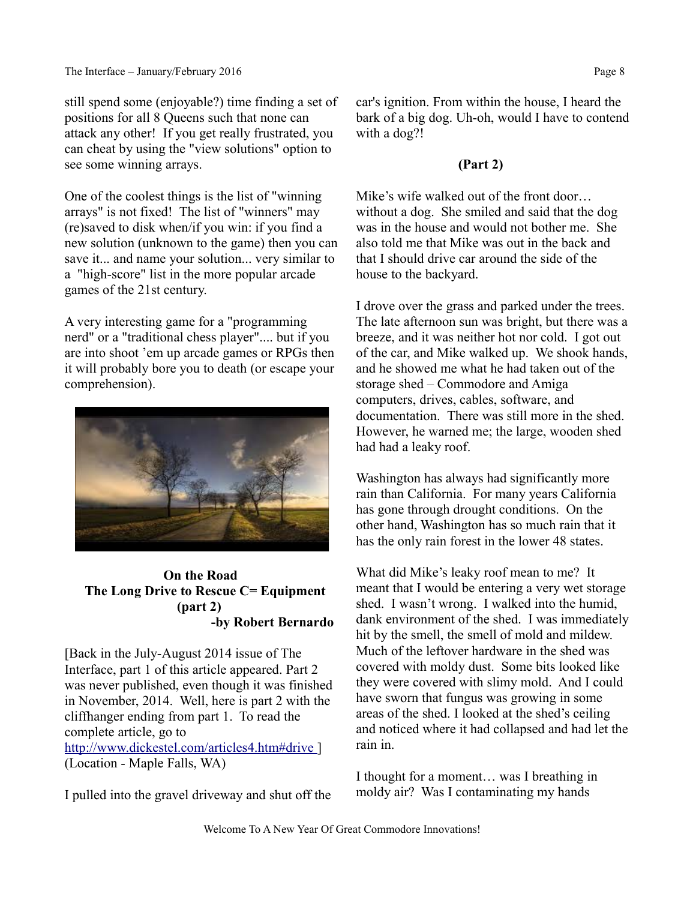still spend some (enjoyable?) time finding a set of positions for all 8 Queens such that none can attack any other! If you get really frustrated, you can cheat by using the "view solutions" option to see some winning arrays.

One of the coolest things is the list of "winning arrays" is not fixed! The list of "winners" may (re)saved to disk when/if you win: if you find a new solution (unknown to the game) then you can save it... and name your solution... very similar to a "high-score" list in the more popular arcade games of the 21st century.

A very interesting game for a "programming nerd" or a "traditional chess player".... but if you are into shoot 'em up arcade games or RPGs then it will probably bore you to death (or escape your comprehension).



## **On the Road The Long Drive to Rescue C= Equipment (part 2) -by Robert Bernardo**

[Back in the July-August 2014 issue of The Interface, part 1 of this article appeared. Part 2 was never published, even though it was finished in November, 2014. Well, here is part 2 with the cliffhanger ending from part 1. To read the complete article, go to [http://www.dickestel.com/articles4.htm#drive \]](http://www.dickestel.com/articles4.htm#drive) (Location - Maple Falls, WA)

I pulled into the gravel driveway and shut off the

car's ignition. From within the house, I heard the bark of a big dog. Uh-oh, would I have to contend with a dog?!

## **(Part 2)**

Mike's wife walked out of the front door… without a dog. She smiled and said that the dog was in the house and would not bother me. She also told me that Mike was out in the back and that I should drive car around the side of the house to the backyard.

I drove over the grass and parked under the trees. The late afternoon sun was bright, but there was a breeze, and it was neither hot nor cold. I got out of the car, and Mike walked up. We shook hands, and he showed me what he had taken out of the storage shed – Commodore and Amiga computers, drives, cables, software, and documentation. There was still more in the shed. However, he warned me; the large, wooden shed had had a leaky roof.

Washington has always had significantly more rain than California. For many years California has gone through drought conditions. On the other hand, Washington has so much rain that it has the only rain forest in the lower 48 states.

What did Mike's leaky roof mean to me? It meant that I would be entering a very wet storage shed. I wasn't wrong. I walked into the humid, dank environment of the shed. I was immediately hit by the smell, the smell of mold and mildew. Much of the leftover hardware in the shed was covered with moldy dust. Some bits looked like they were covered with slimy mold. And I could have sworn that fungus was growing in some areas of the shed. I looked at the shed's ceiling and noticed where it had collapsed and had let the rain in.

I thought for a moment… was I breathing in moldy air? Was I contaminating my hands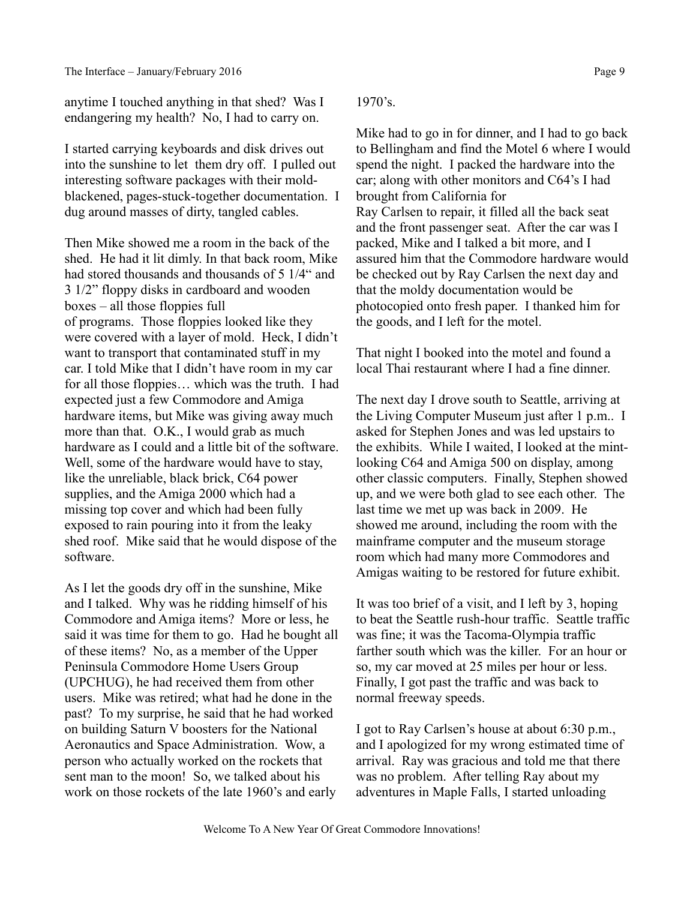anytime I touched anything in that shed? Was I endangering my health? No, I had to carry on.

I started carrying keyboards and disk drives out into the sunshine to let them dry off. I pulled out interesting software packages with their moldblackened, pages-stuck-together documentation. I dug around masses of dirty, tangled cables.

Then Mike showed me a room in the back of the shed. He had it lit dimly. In that back room, Mike had stored thousands and thousands of 5 1/4" and 3 1/2" floppy disks in cardboard and wooden boxes – all those floppies full of programs. Those floppies looked like they were covered with a layer of mold. Heck, I didn't want to transport that contaminated stuff in my car. I told Mike that I didn't have room in my car for all those floppies… which was the truth. I had expected just a few Commodore and Amiga hardware items, but Mike was giving away much more than that. O.K., I would grab as much hardware as I could and a little bit of the software. Well, some of the hardware would have to stay, like the unreliable, black brick, C64 power supplies, and the Amiga 2000 which had a missing top cover and which had been fully exposed to rain pouring into it from the leaky shed roof. Mike said that he would dispose of the software.

As I let the goods dry off in the sunshine, Mike and I talked. Why was he ridding himself of his Commodore and Amiga items? More or less, he said it was time for them to go. Had he bought all of these items? No, as a member of the Upper Peninsula Commodore Home Users Group (UPCHUG), he had received them from other users. Mike was retired; what had he done in the past? To my surprise, he said that he had worked on building Saturn V boosters for the National Aeronautics and Space Administration. Wow, a person who actually worked on the rockets that sent man to the moon! So, we talked about his work on those rockets of the late 1960's and early

1970's.

Mike had to go in for dinner, and I had to go back to Bellingham and find the Motel 6 where I would spend the night. I packed the hardware into the car; along with other monitors and C64's I had brought from California for Ray Carlsen to repair, it filled all the back seat and the front passenger seat. After the car was I packed, Mike and I talked a bit more, and I assured him that the Commodore hardware would be checked out by Ray Carlsen the next day and that the moldy documentation would be photocopied onto fresh paper. I thanked him for the goods, and I left for the motel.

That night I booked into the motel and found a local Thai restaurant where I had a fine dinner.

The next day I drove south to Seattle, arriving at the Living Computer Museum just after 1 p.m.. I asked for Stephen Jones and was led upstairs to the exhibits. While I waited, I looked at the mintlooking C64 and Amiga 500 on display, among other classic computers. Finally, Stephen showed up, and we were both glad to see each other. The last time we met up was back in 2009. He showed me around, including the room with the mainframe computer and the museum storage room which had many more Commodores and Amigas waiting to be restored for future exhibit.

It was too brief of a visit, and I left by 3, hoping to beat the Seattle rush-hour traffic. Seattle traffic was fine; it was the Tacoma-Olympia traffic farther south which was the killer. For an hour or so, my car moved at 25 miles per hour or less. Finally, I got past the traffic and was back to normal freeway speeds.

I got to Ray Carlsen's house at about 6:30 p.m., and I apologized for my wrong estimated time of arrival. Ray was gracious and told me that there was no problem. After telling Ray about my adventures in Maple Falls, I started unloading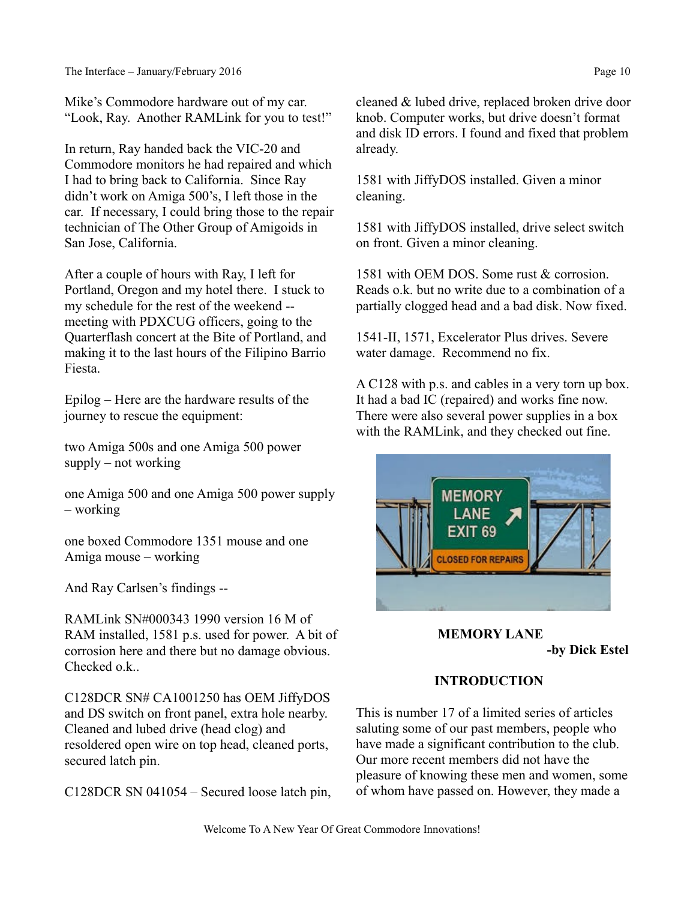Mike's Commodore hardware out of my car. "Look, Ray. Another RAMLink for you to test!"

In return, Ray handed back the VIC-20 and Commodore monitors he had repaired and which I had to bring back to California. Since Ray didn't work on Amiga 500's, I left those in the car. If necessary, I could bring those to the repair technician of The Other Group of Amigoids in San Jose, California.

After a couple of hours with Ray, I left for Portland, Oregon and my hotel there. I stuck to my schedule for the rest of the weekend - meeting with PDXCUG officers, going to the Quarterflash concert at the Bite of Portland, and making it to the last hours of the Filipino Barrio Fiesta.

Epilog – Here are the hardware results of the journey to rescue the equipment:

two Amiga 500s and one Amiga 500 power supply – not working

one Amiga 500 and one Amiga 500 power supply – working

one boxed Commodore 1351 mouse and one Amiga mouse – working

And Ray Carlsen's findings --

RAMLink SN#000343 1990 version 16 M of RAM installed, 1581 p.s. used for power. A bit of corrosion here and there but no damage obvious. Checked o.k..

C128DCR SN# CA1001250 has OEM JiffyDOS and DS switch on front panel, extra hole nearby. Cleaned and lubed drive (head clog) and resoldered open wire on top head, cleaned ports, secured latch pin.

C128DCR SN 041054 – Secured loose latch pin,

cleaned & lubed drive, replaced broken drive door knob. Computer works, but drive doesn't format and disk ID errors. I found and fixed that problem already.

1581 with JiffyDOS installed. Given a minor cleaning.

1581 with JiffyDOS installed, drive select switch on front. Given a minor cleaning.

1581 with OEM DOS. Some rust & corrosion. Reads o.k. but no write due to a combination of a partially clogged head and a bad disk. Now fixed.

1541-II, 1571, Excelerator Plus drives. Severe water damage. Recommend no fix.

A C128 with p.s. and cables in a very torn up box. It had a bad IC (repaired) and works fine now. There were also several power supplies in a box with the RAMLink, and they checked out fine.



# **MEMORY LANE -by Dick Estel**

# **INTRODUCTION**

This is number 17 of a limited series of articles saluting some of our past members, people who have made a significant contribution to the club. Our more recent members did not have the pleasure of knowing these men and women, some of whom have passed on. However, they made a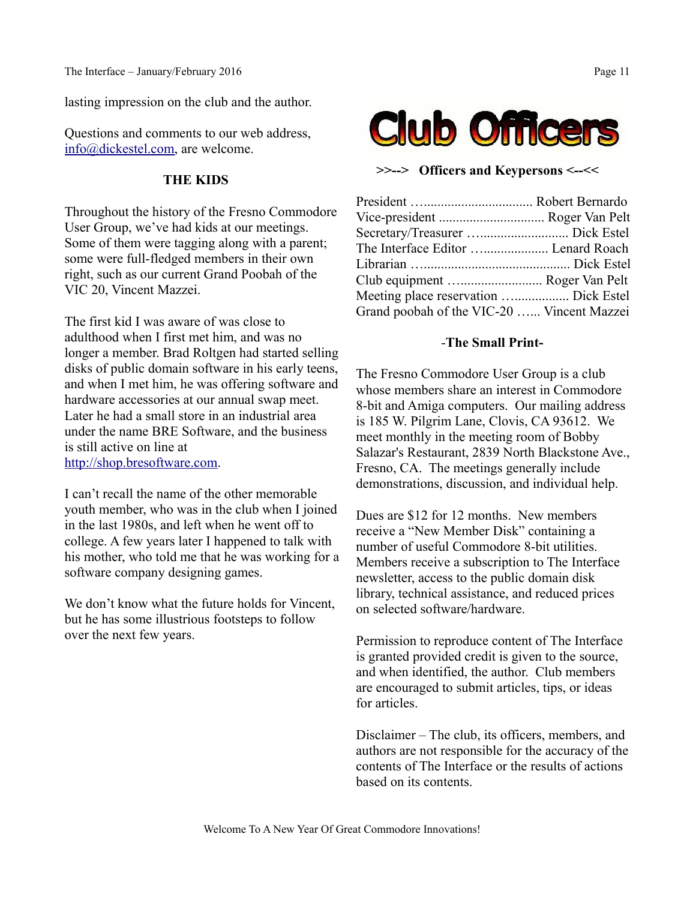lasting impression on the club and the author.

Questions and comments to our web address, [info@dickestel.com,](mailto:info@dickestel.com) are welcome.

#### **THE KIDS**

Throughout the history of the Fresno Commodore User Group, we've had kids at our meetings. Some of them were tagging along with a parent; some were full-fledged members in their own right, such as our current Grand Poobah of the VIC 20, Vincent Mazzei.

The first kid I was aware of was close to adulthood when I first met him, and was no longer a member. Brad Roltgen had started selling disks of public domain software in his early teens, and when I met him, he was offering software and hardware accessories at our annual swap meet. Later he had a small store in an industrial area under the name BRE Software, and the business is still active on line at [http://shop.bresoftware.com.](http://shop.bresoftware.com/)

I can't recall the name of the other memorable youth member, who was in the club when I joined in the last 1980s, and left when he went off to college. A few years later I happened to talk with his mother, who told me that he was working for a software company designing games.

We don't know what the future holds for Vincent, but he has some illustrious footsteps to follow over the next few years.



**>>--> Officers and Keypersons <--<<**

| The Interface Editor  Lenard Roach         |  |
|--------------------------------------------|--|
|                                            |  |
| Club equipment  Roger Van Pelt             |  |
| Meeting place reservation  Dick Estel      |  |
| Grand poobah of the VIC-20  Vincent Mazzei |  |

#### -**The Small Print-**

The Fresno Commodore User Group is a club whose members share an interest in Commodore 8-bit and Amiga computers. Our mailing address is 185 W. Pilgrim Lane, Clovis, CA 93612. We meet monthly in the meeting room of Bobby Salazar's Restaurant, 2839 North Blackstone Ave., Fresno, CA. The meetings generally include demonstrations, discussion, and individual help.

Dues are \$12 for 12 months. New members receive a "New Member Disk" containing a number of useful Commodore 8-bit utilities. Members receive a subscription to The Interface newsletter, access to the public domain disk library, technical assistance, and reduced prices on selected software/hardware.

Permission to reproduce content of The Interface is granted provided credit is given to the source, and when identified, the author. Club members are encouraged to submit articles, tips, or ideas for articles.

Disclaimer – The club, its officers, members, and authors are not responsible for the accuracy of the contents of The Interface or the results of actions based on its contents.